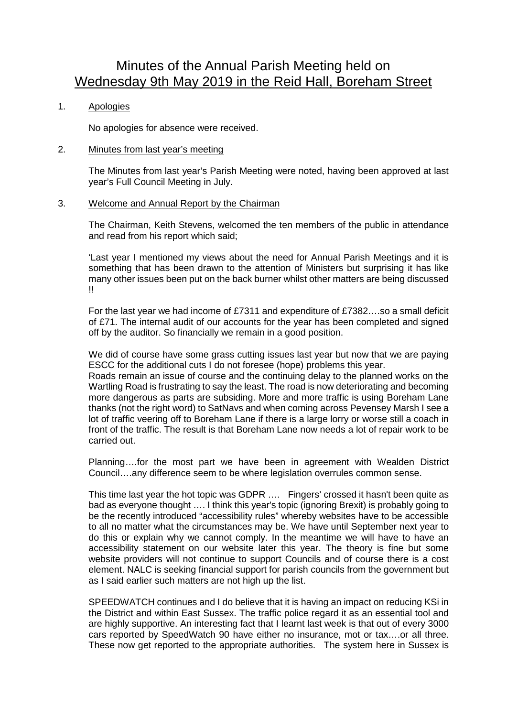# Minutes of the Annual Parish Meeting held on Wednesday 9th May 2019 in the Reid Hall, Boreham Street

# 1. Apologies

No apologies for absence were received.

## 2. Minutes from last year's meeting

The Minutes from last year's Parish Meeting were noted, having been approved at last year's Full Council Meeting in July.

#### 3. Welcome and Annual Report by the Chairman

The Chairman, Keith Stevens, welcomed the ten members of the public in attendance and read from his report which said;

'Last year I mentioned my views about the need for Annual Parish Meetings and it is something that has been drawn to the attention of Ministers but surprising it has like many other issues been put on the back burner whilst other matters are being discussed !!

For the last year we had income of £7311 and expenditure of £7382….so a small deficit of £71. The internal audit of our accounts for the year has been completed and signed off by the auditor. So financially we remain in a good position.

We did of course have some grass cutting issues last year but now that we are paying ESCC for the additional cuts I do not foresee (hope) problems this year.

Roads remain an issue of course and the continuing delay to the planned works on the Wartling Road is frustrating to say the least. The road is now deteriorating and becoming more dangerous as parts are subsiding. More and more traffic is using Boreham Lane thanks (not the right word) to SatNavs and when coming across Pevensey Marsh I see a lot of traffic veering off to Boreham Lane if there is a large lorry or worse still a coach in front of the traffic. The result is that Boreham Lane now needs a lot of repair work to be carried out.

Planning….for the most part we have been in agreement with Wealden District Council….any difference seem to be where legislation overrules common sense.

This time last year the hot topic was GDPR …. Fingers' crossed it hasn't been quite as bad as everyone thought …. I think this year's topic (ignoring Brexit) is probably going to be the recently introduced "accessibility rules" whereby websites have to be accessible to all no matter what the circumstances may be. We have until September next year to do this or explain why we cannot comply. In the meantime we will have to have an accessibility statement on our website later this year. The theory is fine but some website providers will not continue to support Councils and of course there is a cost element. NALC is seeking financial support for parish councils from the government but as I said earlier such matters are not high up the list.

SPEEDWATCH continues and I do believe that it is having an impact on reducing KSi in the District and within East Sussex. The traffic police regard it as an essential tool and are highly supportive. An interesting fact that I learnt last week is that out of every 3000 cars reported by SpeedWatch 90 have either no insurance, mot or tax….or all three. These now get reported to the appropriate authorities. The system here in Sussex is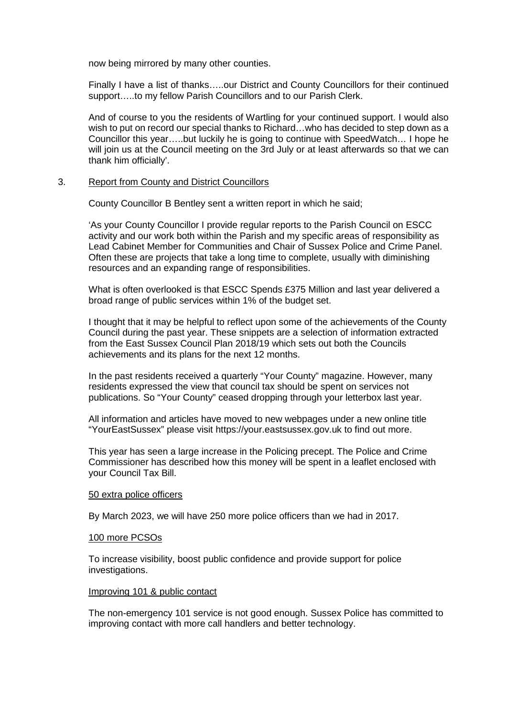now being mirrored by many other counties.

Finally I have a list of thanks…..our District and County Councillors for their continued support…..to my fellow Parish Councillors and to our Parish Clerk.

And of course to you the residents of Wartling for your continued support. I would also wish to put on record our special thanks to Richard... who has decided to step down as a Councillor this year…..but luckily he is going to continue with SpeedWatch… I hope he will join us at the Council meeting on the 3rd July or at least afterwards so that we can thank him officially'.

#### 3. Report from County and District Councillors

County Councillor B Bentley sent a written report in which he said;

'As your County Councillor I provide regular reports to the Parish Council on ESCC activity and our work both within the Parish and my specific areas of responsibility as Lead Cabinet Member for Communities and Chair of Sussex Police and Crime Panel. Often these are projects that take a long time to complete, usually with diminishing resources and an expanding range of responsibilities.

What is often overlooked is that ESCC Spends £375 Million and last year delivered a broad range of public services within 1% of the budget set.

I thought that it may be helpful to reflect upon some of the achievements of the County Council during the past year. These snippets are a selection of information extracted from the East Sussex Council Plan 2018/19 which sets out both the Councils achievements and its plans for the next 12 months.

In the past residents received a quarterly "Your County" magazine. However, many residents expressed the view that council tax should be spent on services not publications. So "Your County" ceased dropping through your letterbox last year.

All information and articles have moved to new webpages under a new online title "YourEastSussex" please visit https://your.eastsussex.gov.uk to find out more.

This year has seen a large increase in the Policing precept. The Police and Crime Commissioner has described how this money will be spent in a leaflet enclosed with your Council Tax Bill.

#### 50 extra police officers

By March 2023, we will have 250 more police officers than we had in 2017.

# 100 more PCSOs

To increase visibility, boost public confidence and provide support for police investigations.

#### Improving 101 & public contact

The non-emergency 101 service is not good enough. Sussex Police has committed to improving contact with more call handlers and better technology.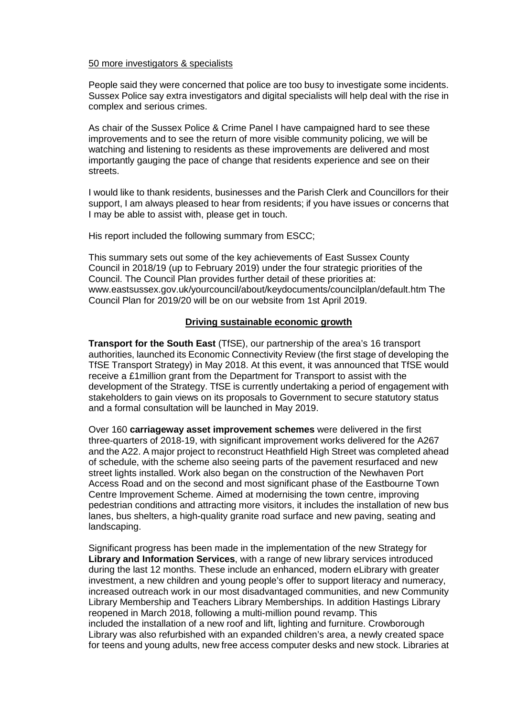## 50 more investigators & specialists

People said they were concerned that police are too busy to investigate some incidents. Sussex Police say extra investigators and digital specialists will help deal with the rise in complex and serious crimes.

As chair of the Sussex Police & Crime Panel I have campaigned hard to see these improvements and to see the return of more visible community policing, we will be watching and listening to residents as these improvements are delivered and most importantly gauging the pace of change that residents experience and see on their streets.

I would like to thank residents, businesses and the Parish Clerk and Councillors for their support, I am always pleased to hear from residents; if you have issues or concerns that I may be able to assist with, please get in touch.

His report included the following summary from ESCC;

This summary sets out some of the key achievements of East Sussex County Council in 2018/19 (up to February 2019) under the four strategic priorities of the Council. The Council Plan provides further detail of these priorities at: www.eastsussex.gov.uk/yourcouncil/about/keydocuments/councilplan/default.htm The Council Plan for 2019/20 will be on our website from 1st April 2019.

# **Driving sustainable economic growth**

**Transport for the South East** (TfSE), our partnership of the area's 16 transport authorities, launched its Economic Connectivity Review (the first stage of developing the TfSE Transport Strategy) in May 2018. At this event, it was announced that TfSE would receive a £1million grant from the Department for Transport to assist with the development of the Strategy. TfSE is currently undertaking a period of engagement with stakeholders to gain views on its proposals to Government to secure statutory status and a formal consultation will be launched in May 2019.

Over 160 **carriageway asset improvement schemes** were delivered in the first three-quarters of 2018-19, with significant improvement works delivered for the A267 and the A22. A major project to reconstruct Heathfield High Street was completed ahead of schedule, with the scheme also seeing parts of the pavement resurfaced and new street lights installed. Work also began on the construction of the Newhaven Port Access Road and on the second and most significant phase of the Eastbourne Town Centre Improvement Scheme. Aimed at modernising the town centre, improving pedestrian conditions and attracting more visitors, it includes the installation of new bus lanes, bus shelters, a high-quality granite road surface and new paving, seating and landscaping.

Significant progress has been made in the implementation of the new Strategy for **Library and Information Services**, with a range of new library services introduced during the last 12 months. These include an enhanced, modern eLibrary with greater investment, a new children and young people's offer to support literacy and numeracy, increased outreach work in our most disadvantaged communities, and new Community Library Membership and Teachers Library Memberships. In addition Hastings Library reopened in March 2018, following a multi-million pound revamp. This included the installation of a new roof and lift, lighting and furniture. Crowborough Library was also refurbished with an expanded children's area, a newly created space for teens and young adults, new free access computer desks and new stock. Libraries at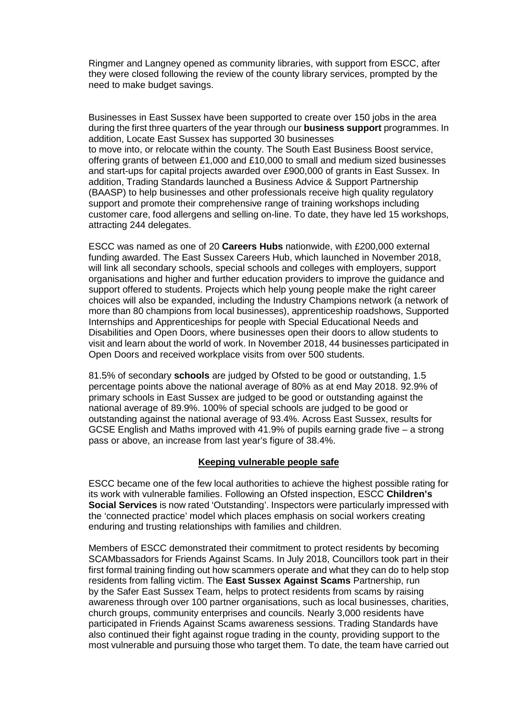Ringmer and Langney opened as community libraries, with support from ESCC, after they were closed following the review of the county library services, prompted by the need to make budget savings.

Businesses in East Sussex have been supported to create over 150 jobs in the area during the first three quarters of the year through our **business support** programmes. In addition, Locate East Sussex has supported 30 businesses to move into, or relocate within the county. The South East Business Boost service, offering grants of between £1,000 and £10,000 to small and medium sized businesses and start-ups for capital projects awarded over £900,000 of grants in East Sussex. In addition, Trading Standards launched a Business Advice & Support Partnership (BAASP) to help businesses and other professionals receive high quality regulatory support and promote their comprehensive range of training workshops including customer care, food allergens and selling on-line. To date, they have led 15 workshops, attracting 244 delegates.

ESCC was named as one of 20 **Careers Hubs** nationwide, with £200,000 external funding awarded. The East Sussex Careers Hub, which launched in November 2018, will link all secondary schools, special schools and colleges with employers, support organisations and higher and further education providers to improve the guidance and support offered to students. Projects which help young people make the right career choices will also be expanded, including the Industry Champions network (a network of more than 80 champions from local businesses), apprenticeship roadshows, Supported Internships and Apprenticeships for people with Special Educational Needs and Disabilities and Open Doors, where businesses open their doors to allow students to visit and learn about the world of work. In November 2018, 44 businesses participated in Open Doors and received workplace visits from over 500 students.

81.5% of secondary **schools** are judged by Ofsted to be good or outstanding, 1.5 percentage points above the national average of 80% as at end May 2018. 92.9% of primary schools in East Sussex are judged to be good or outstanding against the national average of 89.9%. 100% of special schools are judged to be good or outstanding against the national average of 93.4%. Across East Sussex, results for GCSE English and Maths improved with 41.9% of pupils earning grade five – a strong pass or above, an increase from last year's figure of 38.4%.

# **Keeping vulnerable people safe**

ESCC became one of the few local authorities to achieve the highest possible rating for its work with vulnerable families. Following an Ofsted inspection, ESCC **Children's Social Services** is now rated 'Outstanding'. Inspectors were particularly impressed with the 'connected practice' model which places emphasis on social workers creating enduring and trusting relationships with families and children.

Members of ESCC demonstrated their commitment to protect residents by becoming SCAMbassadors for Friends Against Scams. In July 2018, Councillors took part in their first formal training finding out how scammers operate and what they can do to help stop residents from falling victim. The **East Sussex Against Scams** Partnership, run by the Safer East Sussex Team, helps to protect residents from scams by raising awareness through over 100 partner organisations, such as local businesses, charities, church groups, community enterprises and councils. Nearly 3,000 residents have participated in Friends Against Scams awareness sessions. Trading Standards have also continued their fight against rogue trading in the county, providing support to the most vulnerable and pursuing those who target them. To date, the team have carried out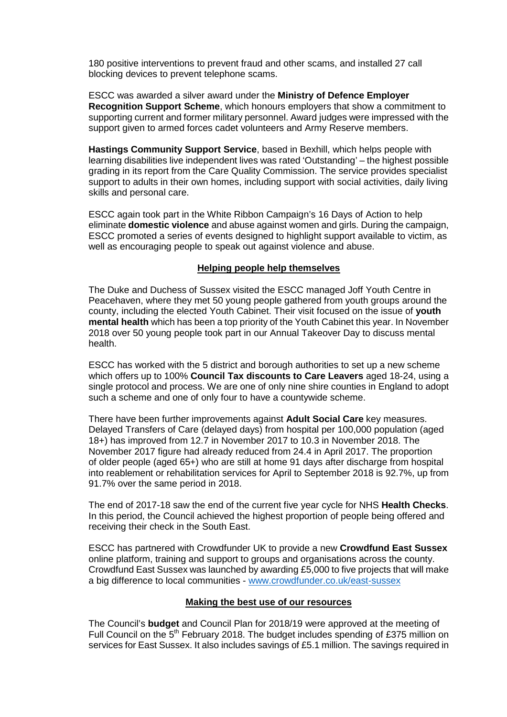180 positive interventions to prevent fraud and other scams, and installed 27 call blocking devices to prevent telephone scams.

ESCC was awarded a silver award under the **Ministry of Defence Employer Recognition Support Scheme**, which honours employers that show a commitment to supporting current and former military personnel. Award judges were impressed with the support given to armed forces cadet volunteers and Army Reserve members.

**Hastings Community Support Service**, based in Bexhill, which helps people with learning disabilities live independent lives was rated 'Outstanding' – the highest possible grading in its report from the Care Quality Commission. The service provides specialist support to adults in their own homes, including support with social activities, daily living skills and personal care.

ESCC again took part in the White Ribbon Campaign's 16 Days of Action to help eliminate **domestic violence** and abuse against women and girls. During the campaign, ESCC promoted a series of events designed to highlight support available to victim, as well as encouraging people to speak out against violence and abuse.

# **Helping people help themselves**

The Duke and Duchess of Sussex visited the ESCC managed Joff Youth Centre in Peacehaven, where they met 50 young people gathered from youth groups around the county, including the elected Youth Cabinet. Their visit focused on the issue of **youth mental health** which has been a top priority of the Youth Cabinet this year. In November 2018 over 50 young people took part in our Annual Takeover Day to discuss mental health.

ESCC has worked with the 5 district and borough authorities to set up a new scheme which offers up to 100% **Council Tax discounts to Care Leavers** aged 18-24, using a single protocol and process. We are one of only nine shire counties in England to adopt such a scheme and one of only four to have a countywide scheme.

There have been further improvements against **Adult Social Care** key measures. Delayed Transfers of Care (delayed days) from hospital per 100,000 population (aged 18+) has improved from 12.7 in November 2017 to 10.3 in November 2018. The November 2017 figure had already reduced from 24.4 in April 2017. The proportion of older people (aged 65+) who are still at home 91 days after discharge from hospital into reablement or rehabilitation services for April to September 2018 is 92.7%, up from 91.7% over the same period in 2018.

The end of 2017-18 saw the end of the current five year cycle for NHS **Health Checks**. In this period, the Council achieved the highest proportion of people being offered and receiving their check in the South East.

ESCC has partnered with Crowdfunder UK to provide a new **Crowdfund East Sussex**  online platform, training and support to groups and organisations across the county. Crowdfund East Sussex was launched by awarding £5,000 to five projects that will make a big difference to local communities - [www.crowdfunder.co.uk/east-sussex](http://www.crowdfunder.co.uk/east-sussex)

#### **Making the best use of our resources**

The Council's **budget** and Council Plan for 2018/19 were approved at the meeting of Full Council on the 5<sup>th</sup> February 2018. The budget includes spending of £375 million on services for East Sussex. It also includes savings of £5.1 million. The savings required in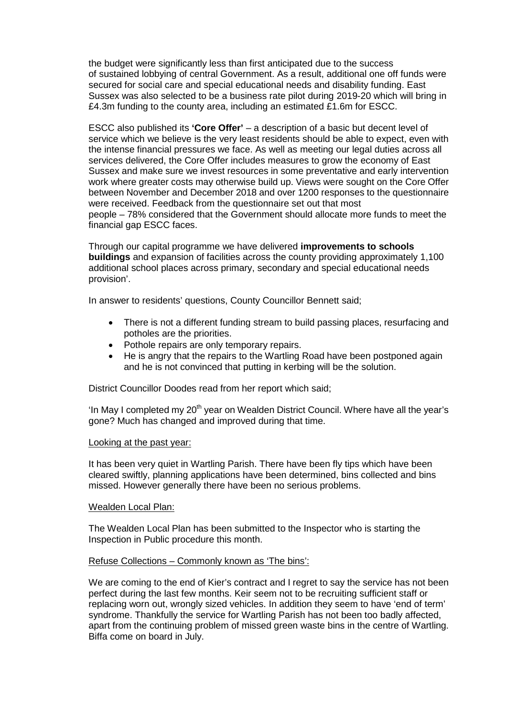the budget were significantly less than first anticipated due to the success of sustained lobbying of central Government. As a result, additional one off funds were secured for social care and special educational needs and disability funding. East Sussex was also selected to be a business rate pilot during 2019-20 which will bring in £4.3m funding to the county area, including an estimated £1.6m for ESCC.

ESCC also published its **'Core Offer'** – a description of a basic but decent level of service which we believe is the very least residents should be able to expect, even with the intense financial pressures we face. As well as meeting our legal duties across all services delivered, the Core Offer includes measures to grow the economy of East Sussex and make sure we invest resources in some preventative and early intervention work where greater costs may otherwise build up. Views were sought on the Core Offer between November and December 2018 and over 1200 responses to the questionnaire were received. Feedback from the questionnaire set out that most people – 78% considered that the Government should allocate more funds to meet the financial gap ESCC faces.

Through our capital programme we have delivered **improvements to schools buildings** and expansion of facilities across the county providing approximately 1,100 additional school places across primary, secondary and special educational needs provision'.

In answer to residents' questions, County Councillor Bennett said;

- There is not a different funding stream to build passing places, resurfacing and potholes are the priorities.
- Pothole repairs are only temporary repairs.
- He is angry that the repairs to the Wartling Road have been postponed again and he is not convinced that putting in kerbing will be the solution.

District Councillor Doodes read from her report which said;

'In May I completed my  $20<sup>th</sup>$  year on Wealden District Council. Where have all the year's gone? Much has changed and improved during that time.

#### Looking at the past year:

It has been very quiet in Wartling Parish. There have been fly tips which have been cleared swiftly, planning applications have been determined, bins collected and bins missed. However generally there have been no serious problems.

#### Wealden Local Plan:

The Wealden Local Plan has been submitted to the Inspector who is starting the Inspection in Public procedure this month.

#### Refuse Collections – Commonly known as 'The bins':

We are coming to the end of Kier's contract and I regret to say the service has not been perfect during the last few months. Keir seem not to be recruiting sufficient staff or replacing worn out, wrongly sized vehicles. In addition they seem to have 'end of term' syndrome. Thankfully the service for Wartling Parish has not been too badly affected, apart from the continuing problem of missed green waste bins in the centre of Wartling. Biffa come on board in July.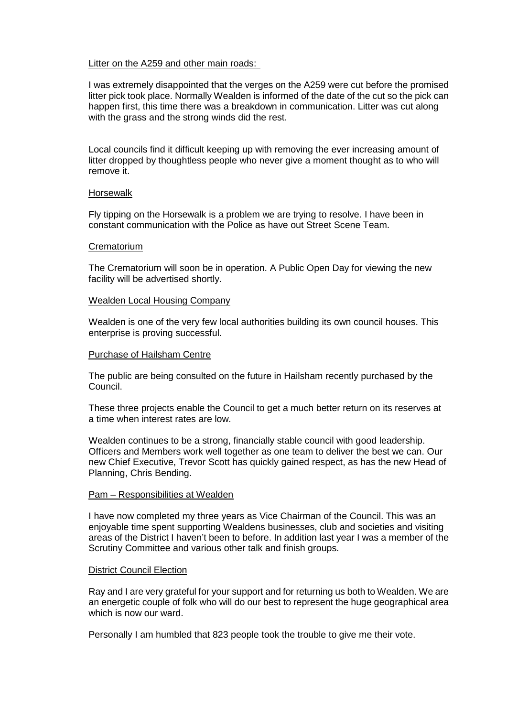# Litter on the A259 and other main roads:

I was extremely disappointed that the verges on the A259 were cut before the promised litter pick took place. Normally Wealden is informed of the date of the cut so the pick can happen first, this time there was a breakdown in communication. Litter was cut along with the grass and the strong winds did the rest.

Local councils find it difficult keeping up with removing the ever increasing amount of litter dropped by thoughtless people who never give a moment thought as to who will remove it.

#### Horsewalk

Fly tipping on the Horsewalk is a problem we are trying to resolve. I have been in constant communication with the Police as have out Street Scene Team.

#### **Crematorium**

The Crematorium will soon be in operation. A Public Open Day for viewing the new facility will be advertised shortly.

#### Wealden Local Housing Company

Wealden is one of the very few local authorities building its own council houses. This enterprise is proving successful.

#### Purchase of Hailsham Centre

The public are being consulted on the future in Hailsham recently purchased by the Council.

These three projects enable the Council to get a much better return on its reserves at a time when interest rates are low.

Wealden continues to be a strong, financially stable council with good leadership. Officers and Members work well together as one team to deliver the best we can. Our new Chief Executive, Trevor Scott has quickly gained respect, as has the new Head of Planning, Chris Bending.

#### Pam – Responsibilities at Wealden

I have now completed my three years as Vice Chairman of the Council. This was an enjoyable time spent supporting Wealdens businesses, club and societies and visiting areas of the District I haven't been to before. In addition last year I was a member of the Scrutiny Committee and various other talk and finish groups.

#### District Council Election

Ray and I are very grateful for your support and for returning us both to Wealden. We are an energetic couple of folk who will do our best to represent the huge geographical area which is now our ward.

Personally I am humbled that 823 people took the trouble to give me their vote.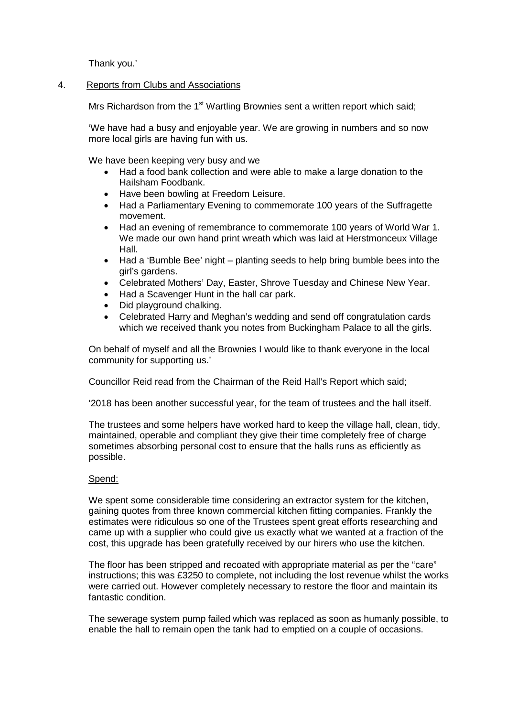Thank you.'

# 4. Reports from Clubs and Associations

Mrs Richardson from the  $1<sup>st</sup>$  Wartling Brownies sent a written report which said;

'We have had a busy and enjoyable year. We are growing in numbers and so now more local girls are having fun with us.

We have been keeping very busy and we

- Had a food bank collection and were able to make a large donation to the Hailsham Foodbank.
- Have been bowling at Freedom Leisure.
- Had a Parliamentary Evening to commemorate 100 years of the Suffragette movement.
- Had an evening of remembrance to commemorate 100 years of World War 1. We made our own hand print wreath which was laid at Herstmonceux Village Hall.
- Had a 'Bumble Bee' night planting seeds to help bring bumble bees into the girl's gardens.
- Celebrated Mothers' Day, Easter, Shrove Tuesday and Chinese New Year.
- Had a Scavenger Hunt in the hall car park.
- Did playground chalking.
- Celebrated Harry and Meghan's wedding and send off congratulation cards which we received thank you notes from Buckingham Palace to all the girls.

On behalf of myself and all the Brownies I would like to thank everyone in the local community for supporting us.'

Councillor Reid read from the Chairman of the Reid Hall's Report which said;

'2018 has been another successful year, for the team of trustees and the hall itself.

The trustees and some helpers have worked hard to keep the village hall, clean, tidy, maintained, operable and compliant they give their time completely free of charge sometimes absorbing personal cost to ensure that the halls runs as efficiently as possible.

# Spend:

We spent some considerable time considering an extractor system for the kitchen, gaining quotes from three known commercial kitchen fitting companies. Frankly the estimates were ridiculous so one of the Trustees spent great efforts researching and came up with a supplier who could give us exactly what we wanted at a fraction of the cost, this upgrade has been gratefully received by our hirers who use the kitchen.

The floor has been stripped and recoated with appropriate material as per the "care" instructions; this was £3250 to complete, not including the lost revenue whilst the works were carried out. However completely necessary to restore the floor and maintain its fantastic condition.

The sewerage system pump failed which was replaced as soon as humanly possible, to enable the hall to remain open the tank had to emptied on a couple of occasions.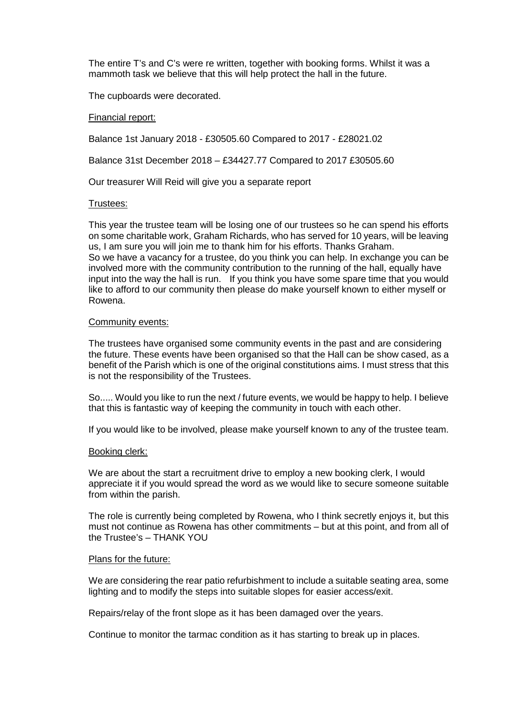The entire T's and C's were re written, together with booking forms. Whilst it was a mammoth task we believe that this will help protect the hall in the future.

The cupboards were decorated.

## Financial report:

Balance 1st January 2018 - £30505.60 Compared to 2017 - £28021.02

Balance 31st December 2018 – £34427.77 Compared to 2017 £30505.60

Our treasurer Will Reid will give you a separate report

# Trustees:

This year the trustee team will be losing one of our trustees so he can spend his efforts on some charitable work, Graham Richards, who has served for 10 years, will be leaving us, I am sure you will join me to thank him for his efforts. Thanks Graham. So we have a vacancy for a trustee, do you think you can help. In exchange you can be involved more with the community contribution to the running of the hall, equally have input into the way the hall is run. If you think you have some spare time that you would like to afford to our community then please do make yourself known to either myself or Rowena.

#### Community events:

The trustees have organised some community events in the past and are considering the future. These events have been organised so that the Hall can be show cased, as a benefit of the Parish which is one of the original constitutions aims. I must stress that this is not the responsibility of the Trustees.

So..... Would you like to run the next / future events, we would be happy to help. I believe that this is fantastic way of keeping the community in touch with each other.

If you would like to be involved, please make yourself known to any of the trustee team.

#### Booking clerk:

We are about the start a recruitment drive to employ a new booking clerk, I would appreciate it if you would spread the word as we would like to secure someone suitable from within the parish.

The role is currently being completed by Rowena, who I think secretly enjoys it, but this must not continue as Rowena has other commitments – but at this point, and from all of the Trustee's – THANK YOU

#### Plans for the future:

We are considering the rear patio refurbishment to include a suitable seating area, some lighting and to modify the steps into suitable slopes for easier access/exit.

Repairs/relay of the front slope as it has been damaged over the years.

Continue to monitor the tarmac condition as it has starting to break up in places.